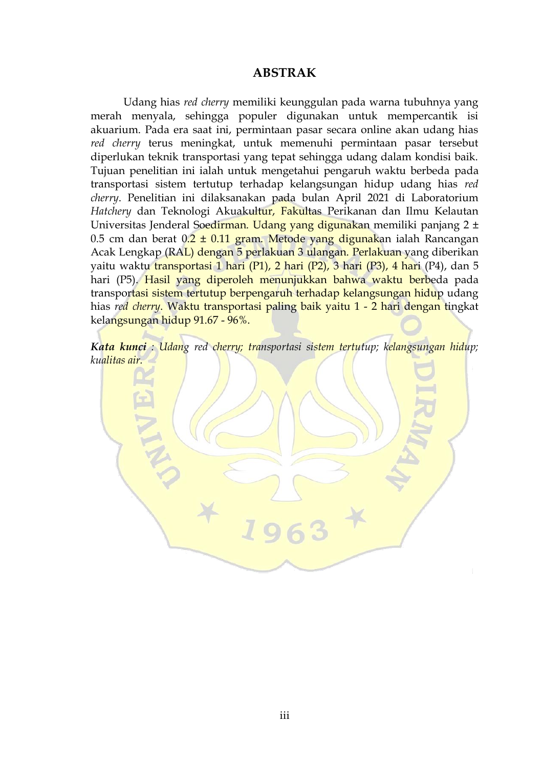## **ABSTRAK**

Udang hias *red cherry* memiliki keunggulan pada warna tubuhnya yang merah menyala, sehingga populer digunakan untuk mempercantik isi akuarium. Pada era saat ini, permintaan pasar secara online akan udang hias *red cherry* terus meningkat, untuk memenuhi permintaan pasar tersebut diperlukan teknik transportasi yang tepat sehingga udang dalam kondisi baik. Tujuan penelitian ini ialah untuk mengetahui pengaruh waktu berbeda pada transportasi sistem tertutup terhadap kelangsungan hidup udang hias *red cherry*. Penelitian ini dilaksanakan pada bulan April 2021 di Laboratorium *Hatchery* dan Teknologi Akuakultur, Fakultas Perikanan dan Ilmu Kelautan Universitas Jenderal Soedirman. Udang yang digunakan memiliki panjang 2 ± 0.5 cm dan berat  $0.2 \pm 0.11$  gram. Metode yang digunakan ialah Rancangan Acak Lengkap (RAL) dengan 5 perlakuan 3 ulangan. Perlakuan yang diberikan yaitu waktu transportasi 1 hari (P1), 2 hari (P2), 3 hari (P3), 4 hari (P4), dan 5 hari (P5). Hasil yang diperoleh menunjukkan bahwa waktu berbeda pada transportasi sistem tertutup berpengaruh terhadap kelangsungan hidup udang hias *red cherry*. Waktu transportasi paling baik yaitu 1 - 2 hari dengan tingkat kelangsungan hidup 91.67 - 96%.

*Kata kunci : Udang red cherry; transportasi sistem tertutup; kelangsungan hidup; kualitas air.*